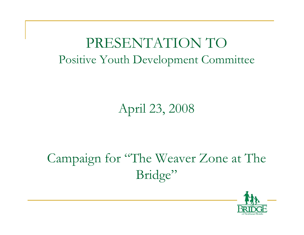## PRESENTATION TO Positive Youth Development Committee

## April 23, 2008

## Campaign for "The Weaver Zone at The Bridge"

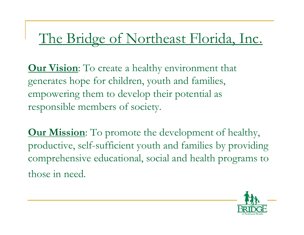## The Bridge of Northeast Florida, Inc.

**Our Vision**: To create a healthy environment that generates hope for children, youth and families, empowering them to develop their potential as responsible members of society.

**Our Mission**: To promote the development of healthy, productive, self-sufficient youth and families by providing comprehensive educational, social and health programs to those in need.

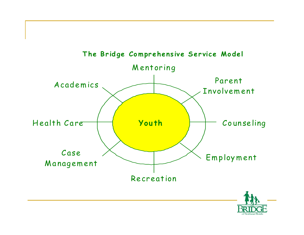

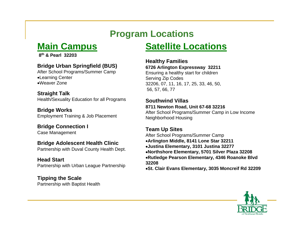### **Program Locations**

### **Main Campus**

**8th & Pearl 32203**

#### **Bridge Urban Springfield (BUS)**

After School Programs/Summer Camp •Learning Center •Weaver Zone

#### **Straight Talk**

Health/Sexuality Education for all Programs

**Bridge Works** Employment Training & Job Placement

#### **Bridge Connection I** Case Management

#### **Bridge Adolescent Health Clinic**

Partnership with Duval County Health Dept.

#### **Head Start**

Partnership with Urban League Partnership

#### **Tipping the Scale** Partnership with Baptist Health

### **Satellite Locations**

#### **Healthy Families 6726 Arlington Expressway 32211**

Ensuring a healthy start for children Serving Zip Codes 32206, 07, 11, 16, 17, 25, 33, 46, 50, 56, 57, 66, 77

#### **Southwind Villas8711 Newton Road, Unit 67-68 32216**

After School Programs/Summer Camp in Low Income Neighborhood Housing

#### **Team Up Sites**

After School Programs/Summer Camp •**Arlington Middle, 8141 Lone Star 32211** •**Justina Elementary, 3101 Justina 32277** •**Northshore Elementary, 5701 Silver Plaza 32208** •**Rutledge Pearson Elementary, 4346 Roanoke Blvd 32208**

•**St. Clair Evans Elementary, 3035 Moncreif Rd 32209**

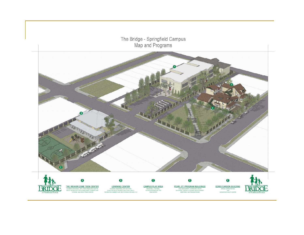

THE WEAVER ZONE TEEN CENTER ACADEMIC ASSISTANCE, ARTS, FAMILY RESOURCE CENTER<br>MEALS, RECREATION, SOCIAL ENRICHMENT, SUMMER CAME<br>TUTORING, AND YMCA FITNESS CENTER

**LEARNING CENTER** ACADEMIC ASSISTANCE, ART ACTIVITIES.<br>COMPUTER SKILLS TRAINING, HEAD START, MEALS.<br>RECREATION, SUMMER CAMP, AND TUTORING FOR AGES 3-12 **CAMPUS PLAY AREA BASKETBALL FOOTBAL** BASKETBALL FOOTBALL<br>OUTDOOR RECREATION, AND

PEARL ST. PROGRAM BUILDINGS CASE MANAGEMENT, COUNSELING, HEALTH<br>EDUCATION, JOB SKILLS TRAINING AND PLACEMENT.<br>MENTORING, AND TRAINING ROOMS

**DORIS CARSON BUILDIN** BRIDGE ACAMASTRATION AND

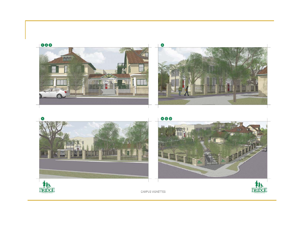





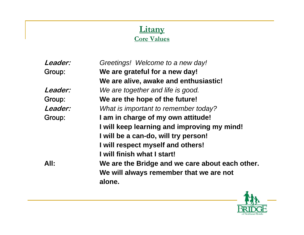#### **Litany Core Values**

| Greetings! Welcome to a new day!                |
|-------------------------------------------------|
| We are grateful for a new day!                  |
| We are alive, awake and enthusiastic!           |
| We are together and life is good.               |
| We are the hope of the future!                  |
| What is important to remember today?            |
| I am in charge of my own attitude!              |
| I will keep learning and improving my mind!     |
| I will be a can-do, will try person!            |
| I will respect myself and others!               |
| I will finish what I start!                     |
| We are the Bridge and we care about each other. |
| We will always remember that we are not         |
| alone.                                          |
|                                                 |

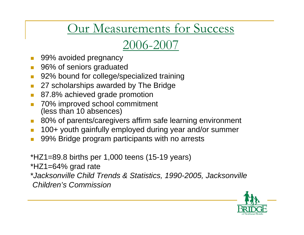## Our Measurements for Success

## 2006-2007

- 99% avoided pregnancy
- F 96% of seniors graduated
- F 92% bound for college/specialized training
- F 27 scholarships awarded by The Bridge
- F 87.8% achieved grade promotion
- F 70% improved school commitment (less than 10 absences)
- 80% of parents/caregivers affirm safe learning environment
- 100+ youth gainfully employed during year and/or summer
- 99% Bridge program participants with no arrests
- \*HZ1=89.8 births per 1,000 teens (15-19 years)
- \*HZ1=64% grad rate
- \**Jacksonville Child Trends & Statistics, 1990-2005, Jacksonville Children's Commission*

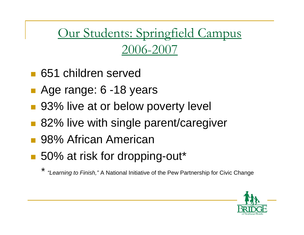Our Students: Springfield Campus 2006-2007

- 651 children served
- Age range: 6 -18 years
- 93% live at or below poverty level
- 82% live with single parent/caregiver
- 98% African American
- 50% at risk for dropping-out\*

*\* "Learning to Finish,"* A National Initiative of the Pew Partnership for Civic Change

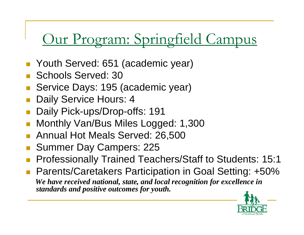# Our Program: Springfield Campus

- Youth Served: 651 (academic year)
- p. Schools Served: 30
- Service Days: 195 (academic year)
- Daily Service Hours: 4
- p. Daily Pick-ups/Drop-offs: 191
- П Monthly Van/Bus Miles Logged: 1,300
- Annual Hot Meals Served: 26,500
- Summer Day Campers: 225
- $\overline{\phantom{a}}$ Professionally Trained Teachers/Staff to Students: 15:1
- Parents/Caretakers Participation in Goal Setting: +50% *We have received national, state, and local recognition for excellence in standards and positive outcomes for youth.*

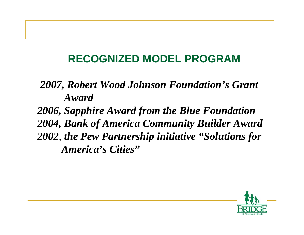### **RECOGNIZED MODEL PROGRAM**

### *2007, Robert Wood Johnson Foundation's Grant Award*

*2006, Sapphire Award from the Blue Foundation 2004, Bank of America Community Builder Award 2002, the Pew Partnership initiative "Solutions for America's Cities"*

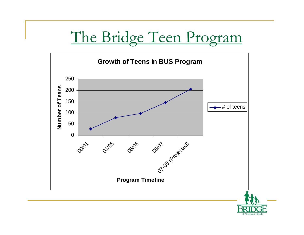## The Bridge Teen Program



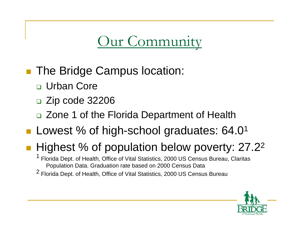## Our Community

- The Bridge Campus location:
	- □ Urban Core
	- □ Zip code 32206
	- □ Zone 1 of the Florida Department of Health
- Lowest % of high-school graduates: 64.0<sup>1</sup>

## ■ Highest % of population below poverty: 27.2<sup>2</sup>

1 Florida Dept. of Health, Office of Vital Statistics, 2000 US Census Bureau, Claritas Population Data. Graduation rate based on 2000 Census Data

2 Florida Dept. of Health, Office of Vital Statistics, 2000 US Census Bureau

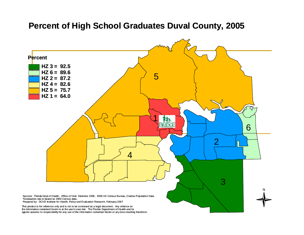#### **Percent of High School Graduates Duval County, 2005**

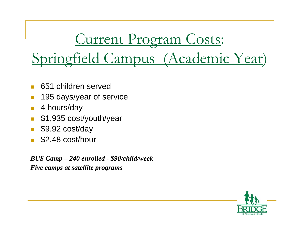Springfield Campus (Academic Year)

Current Program Costs:

- $\Box$ 651 children served
- $\Box$ 195 days/year of service
- $\Box$ 4 hours/day
- $\Box$ \$1,935 cost/youth/year
- $\Box$ \$9.92 cost/day
- $\Box$ \$2.48 cost/hour

*BUS Camp – 240 enrolled - \$90/child/week Five camps at satellite programs*

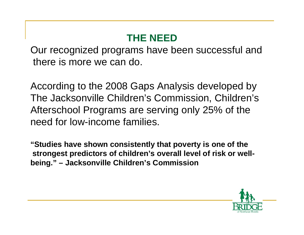### **THE NEED**

Our recognized programs have been successful and there is more we can do.

According to the 2008 Gaps Analysis developed by The Jacksonville Children's Commission, Children's Afterschool Programs are serving only 25% of the need for low-income families.

**"Studies have shown consistently that poverty is one of the strongest predictors of children's overall level of risk or wellbeing." – Jacksonville Children's Commission**

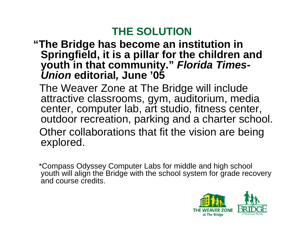### **THE SOLUTION**

### **"The Bridge has become an institution in Springfield, it is a pillar for the children and youth in that community."** *Florida Times-Union* **editorial***,* **June '05**

The Weaver Zone at The Bridge will include attractive classrooms, gym, auditorium, media center, computer lab, art studio, fitness center, outdoor recreation, parking and a charter school. Other collaborations that fit the vision are being explored.

\*Compass Odyssey Computer Labs for middle and high school youth will align the Bridge with the school system for grade recovery and course credits.

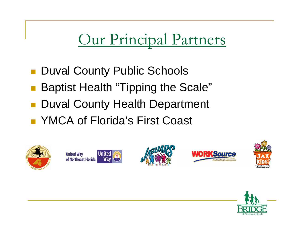# Our Principal Partners

- Duval County Public Schools
- Baptist Health "Tipping the Scale"
- Duval County Health Department
- YMCA of Florida's First Coast











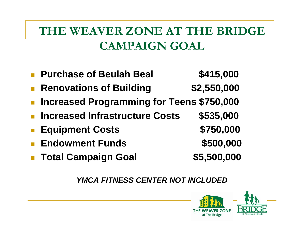## **THE WEAVER ZONE AT THE BRIDGE CAMPAIGN GOAL**

- $\mathbb{R}^3$ **Purchase of Beulah Beal \$415,000**
- $\mathbb{R}^3$ **Renovations of Building \$2,550,000**
- $\mathbb{R}^3$ **Increased Programming for Teens \$750,000**
- $\mathbb{R}^3$ **Increased Infrastructure Costs \$535,000**
- $\overline{\mathbb{R}}$ Equipment Costs **\$750,000**
- $\overline{\mathbb{R}}$ **Endowment Funds \$500,000**
- $\overline{\mathbb{R}}$ **Total Campaign Goal \$5,500,000**

*YMCA FITNESS CENTER NOT INCLUDED*

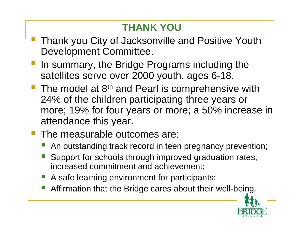### **THANK YOU**

- Thank you City of Jacksonville and Positive Youth Development Committee.
- **If any summary, the Bridge Programs including the** satellites serve over 2000 youth, ages 6-18.
- The model at  $8<sup>th</sup>$  and Pearl is comprehensive with 24% of the children participating three years or more; 19% for four years or more; a 50% increase in attendance this year.
- The measurable outcomes are:
	- An outstanding track record in teen pregnancy prevention;
	- Support for schools through improved graduation rates, increased commitment and achievement;
	- A safe learning environment for participants;
	- Affirmation that the Bridge cares about their well-being.

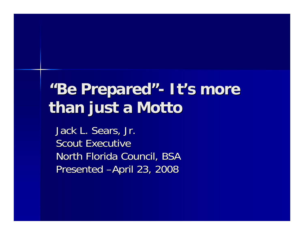# **"Be Prepared Be Prepared"- It's more than just a Motto than just a Motto**

Jack L. Sears, Jr. Scout Executive North Florida Council, BSA Presented –April 23, 2008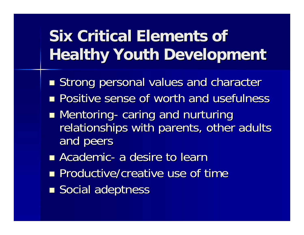# **Six Critical Elements of Healthy Youth Development**

- **Strong personal values and character**
- **Positive sense of worth and usefulness**
- **Mentoring** -- caring and nurturing relationships with parents, other adults and peers
- $\blacksquare$  Academic - a desire to learn
- **Productive/creative use of time**
- **Social adeptness**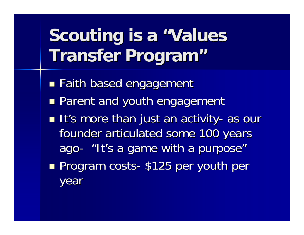# **Scouting is a "Values Transfer Program Transfer Program "**

- ■ Faith based engagement
- **Parent and youth engagement**
- **It's more than just an activity**  as our founder articulated some 100 years ago -- "It's a game with a purpose"
- **Rand Program costs** -- \$125 per youth per year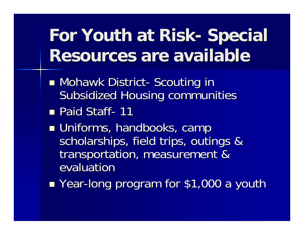#### **For Youth at Risk For Youth at Risk -- Special Resources are available Resources are available**

- Mohawk District - Scouting in Subsidized Housing communities
- Paid Staff - 11
- **u** Uniforms, handbooks, camp scholarships, field trips, outings & transportation, measurement & evaluatior
- Year-long program for \$1,000 a youth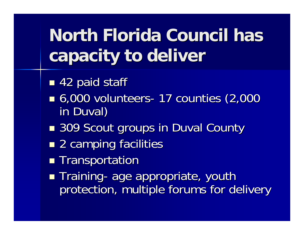# **North Florida Council has capacity to deliver capacity to deliver**

- ■ 42 paid staff
- 6,000 volunteers -- 17 counties (2,000 in Duval)
- ■ 309 Scout groups in Duval County
- $\blacksquare$  2 camping facilities
- **Transportation**
- $\blacksquare$  Training -- age appropriate, youth protection, multiple forums for delivery